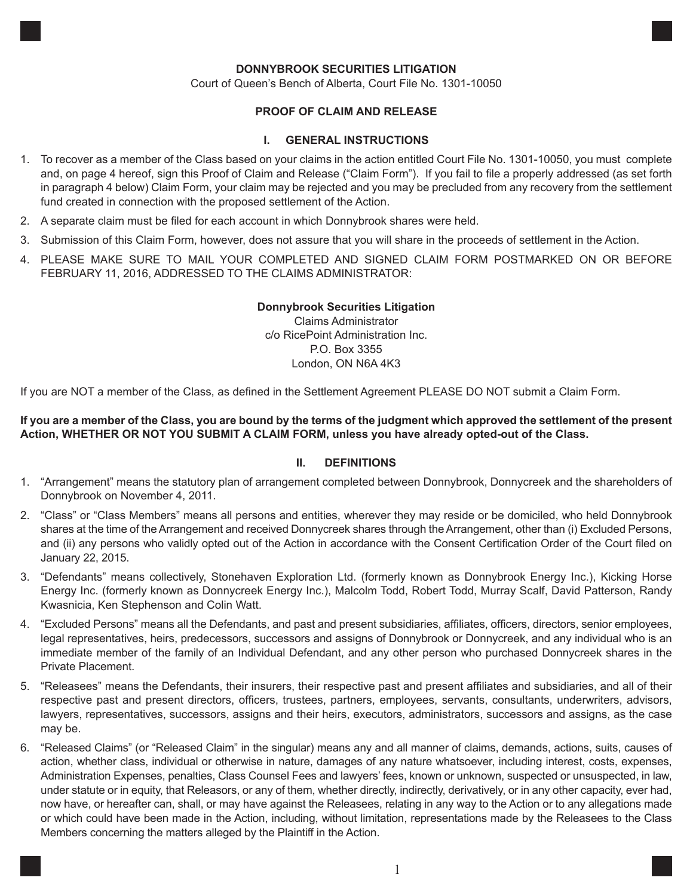### **DONNYBROOK SECURITIES LITIGATION**

Court of Queen's Bench of Alberta, Court File No. 1301-10050

## **PROOF OF CLAIM AND RELEASE**

#### **I. GENERAL INSTRUCTIONS**

- 1. To recover as a member of the Class based on your claims in the action entitled Court File No. 1301-10050, you must complete and, on page 4 hereof, sign this Proof of Claim and Release ("Claim Form"). If you fail to file a properly addressed (as set forth in paragraph 4 below) Claim Form, your claim may be rejected and you may be precluded from any recovery from the settlement fund created in connection with the proposed settlement of the Action.
- 2. A separate claim must be filed for each account in which Donnybrook shares were held.
- 3. Submission of this Claim Form, however, does not assure that you will share in the proceeds of settlement in the Action.
- 4. PLEASE MAKE SURE TO MAIL YOUR COMPLETED AND SIGNED CLAIM FORM POSTMARKED ON OR BEFORE FEBRUARY 11, 2016, ADDRESSED TO THE CLAIMS ADMINISTRATOR:

#### **Donnybrook Securities Litigation**

Claims Administrator c/o RicePoint Administration Inc. P.O. Box 3355 London, ON N6A 4K3

If you are NOT a member of the Class, as defined in the Settlement Agreement PLEASE DO NOT submit a Claim Form.

### **If you are a member of the Class, you are bound by the terms of the judgment which approved the settlement of the present Action, WHETHER OR NOT YOU SUBMIT A CLAIM FORM, unless you have already opted-out of the Class.**

#### **II. DEFINITIONS**

- 1. "Arrangement" means the statutory plan of arrangement completed between Donnybrook, Donnycreek and the shareholders of Donnybrook on November 4, 2011.
- 2. "Class" or "Class Members" means all persons and entities, wherever they may reside or be domiciled, who held Donnybrook shares at the time of the Arrangement and received Donnycreek shares through the Arrangement, other than (i) Excluded Persons, and (ii) any persons who validly opted out of the Action in accordance with the Consent Certification Order of the Court filed on January 22, 2015.
- 3. "Defendants" means collectively, Stonehaven Exploration Ltd. (formerly known as Donnybrook Energy Inc.), Kicking Horse Energy Inc. (formerly known as Donnycreek Energy Inc.), Malcolm Todd, Robert Todd, Murray Scalf, David Patterson, Randy Kwasnicia, Ken Stephenson and Colin Watt.
- 4. "Excluded Persons" means all the Defendants, and past and present subsidiaries, affiliates, officers, directors, senior employees, legal representatives, heirs, predecessors, successors and assigns of Donnybrook or Donnycreek, and any individual who is an immediate member of the family of an Individual Defendant, and any other person who purchased Donnycreek shares in the Private Placement.
- 5. "Releasees" means the Defendants, their insurers, their respective past and present affiliates and subsidiaries, and all of their respective past and present directors, officers, trustees, partners, employees, servants, consultants, underwriters, advisors, lawyers, representatives, successors, assigns and their heirs, executors, administrators, successors and assigns, as the case may be.
- 6. "Released Claims" (or "Released Claim" in the singular) means any and all manner of claims, demands, actions, suits, causes of action, whether class, individual or otherwise in nature, damages of any nature whatsoever, including interest, costs, expenses, Administration Expenses, penalties, Class Counsel Fees and lawyers' fees, known or unknown, suspected or unsuspected, in law, under statute or in equity, that Releasors, or any of them, whether directly, indirectly, derivatively, or in any other capacity, ever had, now have, or hereafter can, shall, or may have against the Releasees, relating in any way to the Action or to any allegations made or which could have been made in the Action, including, without limitation, representations made by the Releasees to the Class Members concerning the matters alleged by the Plaintiff in the Action.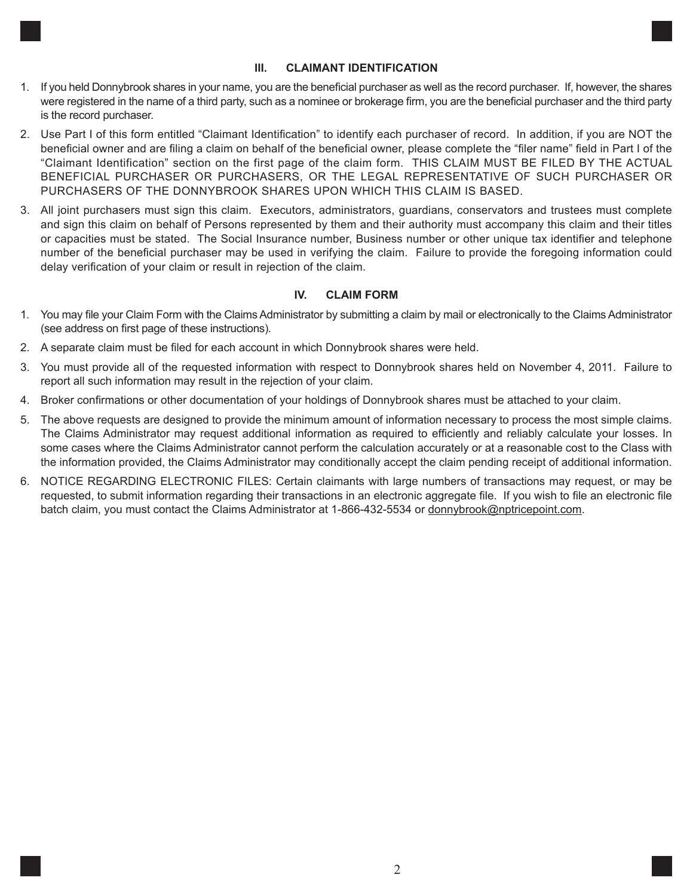# **III. CLAIMANT IDENTIFICATION**

- 1. If you held Donnybrook shares in your name, you are the beneficial purchaser as well as the record purchaser. If, however, the shares were registered in the name of a third party, such as a nominee or brokerage firm, you are the beneficial purchaser and the third party is the record purchaser.
- 2. Use Part I of this form entitled "Claimant Identification" to identify each purchaser of record. In addition, if you are NOT the beneficial owner and are filing a claim on behalf of the beneficial owner, please complete the "filer name" field in Part I of the "Claimant Identification" section on the first page of the claim form. THIS CLAIM MUST BE FILED BY THE ACTUAL BENEFICIAL PURCHASER OR PURCHASERS, OR THE LEGAL REPRESENTATIVE OF SUCH PURCHASER OR PURCHASERS OF THE DONNYBROOK SHARES UPON WHICH THIS CLAIM IS BASED.
- 3. All joint purchasers must sign this claim. Executors, administrators, guardians, conservators and trustees must complete and sign this claim on behalf of Persons represented by them and their authority must accompany this claim and their titles or capacities must be stated. The Social Insurance number, Business number or other unique tax identifier and telephone number of the beneficial purchaser may be used in verifying the claim. Failure to provide the foregoing information could delay verification of your claim or result in rejection of the claim.

# **IV. CLAIM FORM**

- 1. You may file your Claim Form with the Claims Administrator by submitting a claim by mail or electronically to the Claims Administrator (see address on first page of these instructions).
- 2. A separate claim must be filed for each account in which Donnybrook shares were held.
- 3. You must provide all of the requested information with respect to Donnybrook shares held on November 4, 2011. Failure to report all such information may result in the rejection of your claim.
- 4. Broker confirmations or other documentation of your holdings of Donnybrook shares must be attached to your claim.
- 5. The above requests are designed to provide the minimum amount of information necessary to process the most simple claims. The Claims Administrator may request additional information as required to efficiently and reliably calculate your losses. In some cases where the Claims Administrator cannot perform the calculation accurately or at a reasonable cost to the Class with the information provided, the Claims Administrator may conditionally accept the claim pending receipt of additional information.
- 6. NOTICE REGARDING ELECTRONIC FILES: Certain claimants with large numbers of transactions may request, or may be requested, to submit information regarding their transactions in an electronic aggregate file. If you wish to file an electronic file batch claim, you must contact the Claims Administrator at 1-866-432-5534 or donnybrook@nptricepoint.com.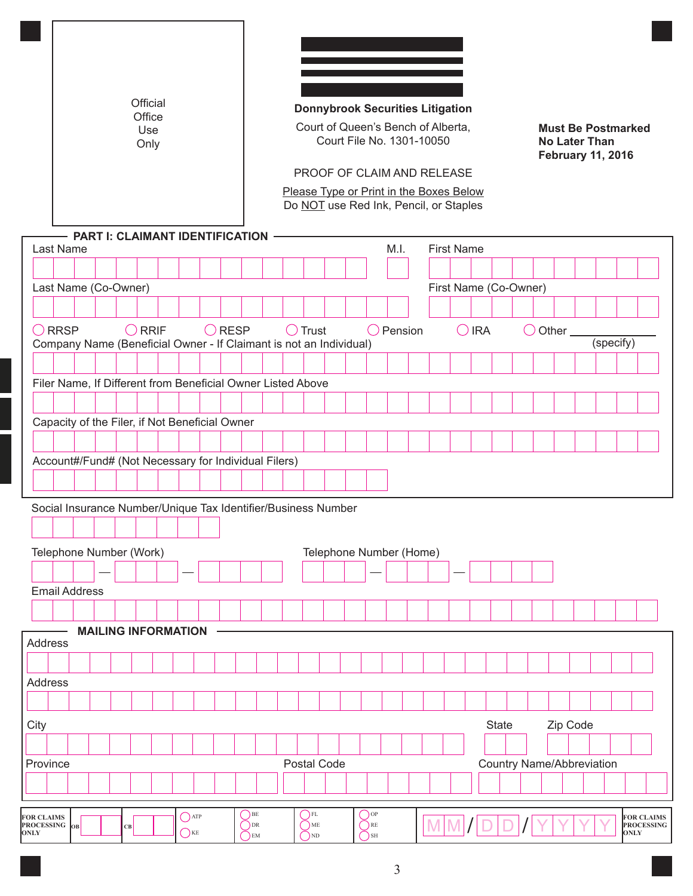|                                                   |                 |                                                                    |    | Official<br>Office<br>Use<br>Only |                                          |                 |                                            |  |                                             |  |                                             | <b>Donnybrook Securities Litigation</b><br>Court of Queen's Bench of Alberta,<br>Court File No. 1301-10050<br>PROOF OF CLAIM AND RELEASE<br>Please Type or Print in the Boxes Below<br>Do NOT use Red Ink, Pencil, or Staples |                       |                |                                  |  | <b>No Later Than</b>  |  | <b>Must Be Postmarked</b><br><b>February 11, 2016</b> |                                        |
|---------------------------------------------------|-----------------|--------------------------------------------------------------------|----|-----------------------------------|------------------------------------------|-----------------|--------------------------------------------|--|---------------------------------------------|--|---------------------------------------------|-------------------------------------------------------------------------------------------------------------------------------------------------------------------------------------------------------------------------------|-----------------------|----------------|----------------------------------|--|-----------------------|--|-------------------------------------------------------|----------------------------------------|
|                                                   | Last Name       | - PART I: CLAIMANT IDENTIFICATION                                  |    |                                   |                                          |                 |                                            |  |                                             |  |                                             | M.I.                                                                                                                                                                                                                          | <b>First Name</b>     |                |                                  |  |                       |  |                                                       |                                        |
|                                                   |                 |                                                                    |    |                                   |                                          |                 |                                            |  |                                             |  |                                             |                                                                                                                                                                                                                               |                       |                |                                  |  |                       |  |                                                       |                                        |
|                                                   |                 | Last Name (Co-Owner)                                               |    |                                   |                                          |                 |                                            |  |                                             |  |                                             |                                                                                                                                                                                                                               | First Name (Co-Owner) |                |                                  |  |                       |  |                                                       |                                        |
|                                                   |                 |                                                                    |    |                                   |                                          |                 |                                            |  |                                             |  |                                             |                                                                                                                                                                                                                               |                       |                |                                  |  |                       |  |                                                       |                                        |
|                                                   | $\bigcirc$ RRSP | Company Name (Beneficial Owner - If Claimant is not an Individual) |    | $\bigcirc$ RRIF                   |                                          | $\bigcirc$ RESP |                                            |  | $\bigcirc$ Trust                            |  |                                             | $\bigcirc$ Pension                                                                                                                                                                                                            |                       | $\bigcirc$ IRA |                                  |  | $\bigcirc$ Other $\_$ |  | (specify)                                             |                                        |
|                                                   |                 |                                                                    |    |                                   |                                          |                 |                                            |  |                                             |  |                                             |                                                                                                                                                                                                                               |                       |                |                                  |  |                       |  |                                                       |                                        |
|                                                   |                 | Filer Name, If Different from Beneficial Owner Listed Above        |    |                                   |                                          |                 |                                            |  |                                             |  |                                             |                                                                                                                                                                                                                               |                       |                |                                  |  |                       |  |                                                       |                                        |
|                                                   |                 |                                                                    |    |                                   |                                          |                 |                                            |  |                                             |  |                                             |                                                                                                                                                                                                                               |                       |                |                                  |  |                       |  |                                                       |                                        |
|                                                   |                 | Capacity of the Filer, if Not Beneficial Owner                     |    |                                   |                                          |                 |                                            |  |                                             |  |                                             |                                                                                                                                                                                                                               |                       |                |                                  |  |                       |  |                                                       |                                        |
|                                                   |                 |                                                                    |    |                                   |                                          |                 |                                            |  |                                             |  |                                             |                                                                                                                                                                                                                               |                       |                |                                  |  |                       |  |                                                       |                                        |
|                                                   |                 | Account#/Fund# (Not Necessary for Individual Filers)               |    |                                   |                                          |                 |                                            |  |                                             |  |                                             |                                                                                                                                                                                                                               |                       |                |                                  |  |                       |  |                                                       |                                        |
|                                                   |                 |                                                                    |    |                                   |                                          |                 |                                            |  |                                             |  |                                             |                                                                                                                                                                                                                               |                       |                |                                  |  |                       |  |                                                       |                                        |
|                                                   |                 | Social Insurance Number/Unique Tax Identifier/Business Number      |    |                                   |                                          |                 |                                            |  |                                             |  |                                             |                                                                                                                                                                                                                               |                       |                |                                  |  |                       |  |                                                       |                                        |
|                                                   |                 |                                                                    |    |                                   |                                          |                 |                                            |  |                                             |  |                                             |                                                                                                                                                                                                                               |                       |                |                                  |  |                       |  |                                                       |                                        |
|                                                   |                 |                                                                    |    |                                   |                                          |                 |                                            |  |                                             |  |                                             |                                                                                                                                                                                                                               |                       |                |                                  |  |                       |  |                                                       |                                        |
|                                                   |                 | Telephone Number (Work)                                            |    |                                   |                                          |                 |                                            |  |                                             |  |                                             | Telephone Number (Home)                                                                                                                                                                                                       |                       |                |                                  |  |                       |  |                                                       |                                        |
|                                                   |                 |                                                                    |    |                                   |                                          |                 |                                            |  |                                             |  |                                             |                                                                                                                                                                                                                               |                       |                |                                  |  |                       |  |                                                       |                                        |
|                                                   |                 | <b>Email Address</b>                                               |    |                                   |                                          |                 |                                            |  |                                             |  |                                             |                                                                                                                                                                                                                               |                       |                |                                  |  |                       |  |                                                       |                                        |
|                                                   |                 |                                                                    |    |                                   |                                          |                 |                                            |  |                                             |  |                                             |                                                                                                                                                                                                                               |                       |                |                                  |  |                       |  |                                                       |                                        |
| <b>Address</b>                                    |                 | <b>MAILING INFORMATION</b>                                         |    |                                   |                                          |                 |                                            |  |                                             |  |                                             |                                                                                                                                                                                                                               |                       |                |                                  |  |                       |  |                                                       |                                        |
|                                                   |                 |                                                                    |    |                                   |                                          |                 |                                            |  |                                             |  |                                             |                                                                                                                                                                                                                               |                       |                |                                  |  |                       |  |                                                       |                                        |
| Address                                           |                 |                                                                    |    |                                   |                                          |                 |                                            |  |                                             |  |                                             |                                                                                                                                                                                                                               |                       |                |                                  |  |                       |  |                                                       |                                        |
|                                                   |                 |                                                                    |    |                                   |                                          |                 |                                            |  |                                             |  |                                             |                                                                                                                                                                                                                               |                       |                |                                  |  |                       |  |                                                       |                                        |
| City                                              |                 |                                                                    |    |                                   |                                          |                 |                                            |  |                                             |  |                                             |                                                                                                                                                                                                                               |                       |                | <b>State</b>                     |  | Zip Code              |  |                                                       |                                        |
|                                                   |                 |                                                                    |    |                                   |                                          |                 |                                            |  |                                             |  |                                             |                                                                                                                                                                                                                               |                       |                |                                  |  |                       |  |                                                       |                                        |
| Province                                          |                 |                                                                    |    |                                   |                                          |                 |                                            |  | Postal Code                                 |  |                                             |                                                                                                                                                                                                                               |                       |                | <b>Country Name/Abbreviation</b> |  |                       |  |                                                       |                                        |
|                                                   |                 |                                                                    |    |                                   |                                          |                 |                                            |  |                                             |  |                                             |                                                                                                                                                                                                                               |                       |                |                                  |  |                       |  |                                                       |                                        |
|                                                   |                 |                                                                    |    |                                   |                                          |                 |                                            |  |                                             |  |                                             |                                                                                                                                                                                                                               |                       |                |                                  |  |                       |  |                                                       |                                        |
| <b>FOR CLAIMS</b><br>PROCESSING OB<br><b>ONLY</b> |                 |                                                                    | CB |                                   | $\bigcap$ ATP<br>$\sum_{k\in\mathbb{Z}}$ |                 | $()_{BE}$<br>$\bigcirc$ DR<br>$\bigcap$ EM |  | $\bigcap$ FL<br>$\bigcirc$ ME<br>$\sum_{N}$ |  | $\bigcirc$ op<br>$\bigcirc$ RE<br>$\sum$ SH |                                                                                                                                                                                                                               |                       |                |                                  |  |                       |  | <b>ONLY</b>                                           | <b>FOR CLAIMS</b><br><b>PROCESSING</b> |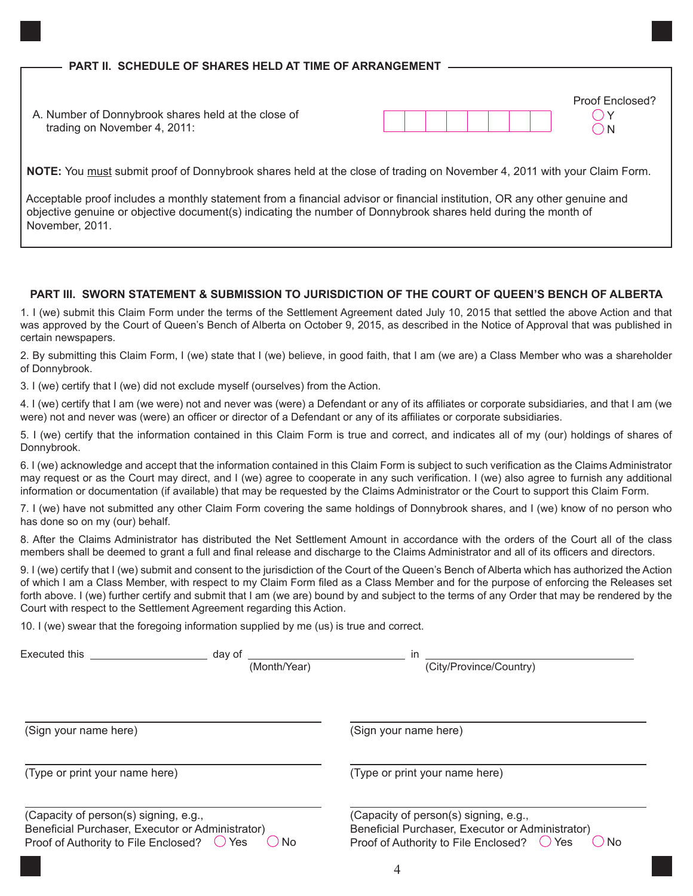**NOTE:** You must submit proof of Donnybrook shares held at the close of trading on November 4, 2011 with your Claim Form.

 Acceptable proof includes a monthly statement from a financial advisor or financial institution, OR any other genuine and objective genuine or objective document(s) indicating the number of Donnybrook shares held during the month of November, 2011.

# **PART III. SWORN STATEMENT & SUBMISSION TO JURISDICTION OF THE COURT OF QUEEN'S BENCH OF ALBERTA**

1. I (we) submit this Claim Form under the terms of the Settlement Agreement dated July 10, 2015 that settled the above Action and that was approved by the Court of Queen's Bench of Alberta on October 9, 2015, as described in the Notice of Approval that was published in certain newspapers.

2. By submitting this Claim Form, I (we) state that I (we) believe, in good faith, that I am (we are) a Class Member who was a shareholder of Donnybrook.

3. I (we) certify that I (we) did not exclude myself (ourselves) from the Action.

4. I (we) certify that I am (we were) not and never was (were) a Defendant or any of its affiliates or corporate subsidiaries, and that I am (we were) not and never was (were) an officer or director of a Defendant or any of its affiliates or corporate subsidiaries.

5. I (we) certify that the information contained in this Claim Form is true and correct, and indicates all of my (our) holdings of shares of Donnybrook.

6. I (we) acknowledge and accept that the information contained in this Claim Form is subject to such verification as the Claims Administrator may request or as the Court may direct, and I (we) agree to cooperate in any such verification. I (we) also agree to furnish any additional information or documentation (if available) that may be requested by the Claims Administrator or the Court to support this Claim Form.

7. I (we) have not submitted any other Claim Form covering the same holdings of Donnybrook shares, and I (we) know of no person who has done so on my (our) behalf.

8. After the Claims Administrator has distributed the Net Settlement Amount in accordance with the orders of the Court all of the class members shall be deemed to grant a full and final release and discharge to the Claims Administrator and all of its officers and directors.

9. I (we) certify that I (we) submit and consent to the jurisdiction of the Court of the Queen's Bench of Alberta which has authorized the Action of which I am a Class Member, with respect to my Claim Form filed as a Class Member and for the purpose of enforcing the Releases set forth above. I (we) further certify and submit that I am (we are) bound by and subject to the terms of any Order that may be rendered by the Court with respect to the Settlement Agreement regarding this Action.

10. I (we) swear that the foregoing information supplied by me (us) is true and correct.

| Executed this <b>Executed</b>                                                                                                     | dav of<br>(Month/Year) | in<br>(City/Province/Country)                                                                                                                             |
|-----------------------------------------------------------------------------------------------------------------------------------|------------------------|-----------------------------------------------------------------------------------------------------------------------------------------------------------|
| (Sign your name here)                                                                                                             |                        | (Sign your name here)                                                                                                                                     |
| (Type or print your name here)                                                                                                    |                        | (Type or print your name here)                                                                                                                            |
| (Capacity of person(s) signing, e.g.,<br>Beneficial Purchaser, Executor or Administrator)<br>Proof of Authority to File Enclosed? | <b>No</b><br>$()$ Yes  | (Capacity of person(s) signing, e.g.,<br>Beneficial Purchaser, Executor or Administrator)<br>Proof of Authority to File Enclosed?<br>( ) Yes<br><b>No</b> |